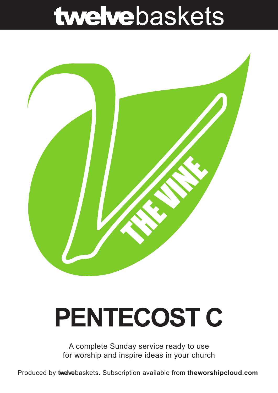## twelvebaskets



# **PENTECOST C**

A complete Sunday service ready to use for worship and inspire ideas in your church

Produced by **twelve**baskets. Subscription available from **theworshipcloud.com**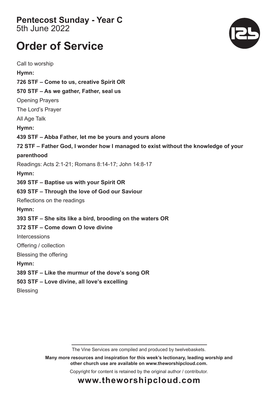#### **Pentecost Sunday - Year C**  5th June 2022

### **Order of Service**

Call to worship **Hymn: 726 STF – Come to us, creative Spirit OR 570 STF – As we gather, Father, seal us**  Opening Prayers The Lord's Prayer All Age Talk **Hymn: 439 STF – Abba Father, let me be yours and yours alone 72 STF – Father God, I wonder how I managed to exist without the knowledge of your parenthood** Readings: Acts 2:1-21; Romans 8:14-17; John 14:8-17 **Hymn: 369 STF – Baptise us with your Spirit OR 639 STF – Through the love of God our Saviour**  Reflections on the readings **Hymn: 393 STF – She sits like a bird, brooding on the waters OR 372 STF – Come down O love divine Intercessions** Offering / collection Blessing the offering **Hymn: 389 STF – Like the murmur of the dove's song OR 503 STF – Love divine, all love's excelling** Blessing

The Vine Services are compiled and produced by twelvebaskets.

**Many more resources and inspiration for this week's lectionary, leading worship and other church use are available on www.theworshipcloud.com.**

Copyright for content is retained by the original author / contributor.



### **www.theworshipcloud.com**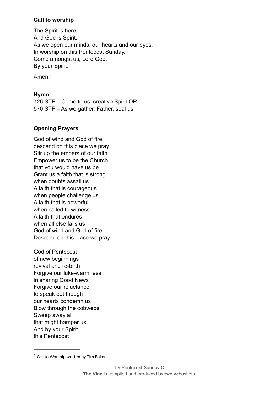#### **Call to worship**

The Spirit is here, And God is Spirit. As we open our minds, our hearts and our eyes, In worship on this Pentecost Sunday, Come amongst us, Lord God, By your Spirit.

<span id="page-2-1"></span>Amen.[1](#page-2-0)

#### **Hymn:**

726 STF – Come to us, creative Spirit OR 570 STF – As we gather, Father, seal us

#### **Opening Prayers**

God of wind and God of fire descend on this place we pray Stir up the embers of our faith Empower us to be the Church that you would have us be Grant us a faith that is strong when doubts assail us A faith that is courageous when people challenge us A faith that is powerful when called to witness A faith that endures when all else fails us God of wind and God of fire Descend on this place we pray.

God of Pentecost of new beginnings revival and re-birth Forgive our luke-warmness in sharing Good News Forgive our reluctance to speak out though our hearts condemn us Blow through the cobwebs Sweep away all that might hamper us And by your Spirit this Pentecost

<span id="page-2-0"></span> $1$  Call to Worship written by Tim Baker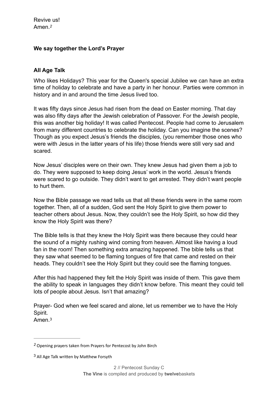#### <span id="page-3-2"></span>**We say together the Lord's Prayer**

#### **All Age Talk**

Who likes Holidays? This year for the Queen's special Jubilee we can have an extra time of holiday to celebrate and have a party in her honour. Parties were common in history and in and around the time Jesus lived too.

It was fifty days since Jesus had risen from the dead on Easter morning. That day was also fifty days after the Jewish celebration of Passover. For the Jewish people, this was another big holiday! It was called Pentecost. People had come to Jerusalem from many different countries to celebrate the holiday. Can you imagine the scenes? Though as you expect Jesus's friends the disciples, (you remember those ones who were with Jesus in the latter years of his life) those friends were still very sad and scared.

Now Jesus' disciples were on their own. They knew Jesus had given them a job to do. They were supposed to keep doing Jesus' work in the world. Jesus's friends were scared to go outside. They didn't want to get arrested. They didn't want people to hurt them.

Now the Bible passage we read tells us that all these friends were in the same room together. Then, all of a sudden, God sent the Holy Spirit to give them power to teacher others about Jesus. Now, they couldn't see the Holy Spirit, so how did they know the Holy Spirit was there?

The Bible tells is that they knew the Holy Spirit was there because they could hear the sound of a mighty rushing wind coming from heaven. Almost like having a loud fan in the room! Then something extra amazing happened. The bible tells us that they saw what seemed to be flaming tongues of fire that came and rested on their heads. They couldn't see the Holy Spirit but they could see the flaming tongues.

After this had happened they felt the Holy Spirit was inside of them. This gave them the ability to speak in languages they didn't know before. This meant they could tell lots of people about Jesus. Isn't that amazing?

Prayer- God when we feel scared and alone, let us remember we to have the Holy Spirit.

<span id="page-3-3"></span>Amen.[3](#page-3-1)

<span id="page-3-0"></span>Opening prayers taken from Prayers for Pentecost by John Birch *[2](#page-3-2)*

<span id="page-3-1"></span><sup>&</sup>lt;sup>[3](#page-3-3)</sup> All Age Talk written by Matthew Forsyth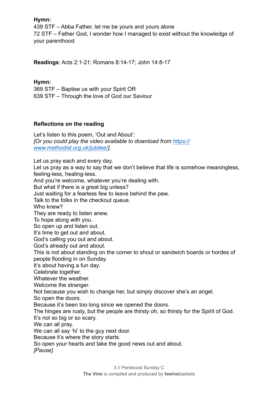Hymn:

439 STF - Abba Father, let me be yours and yours alone 72 STF – Father God, I wonder how I managed to exist without the knowledge of vour parenthood

Readings: Acts 2:1-21; Romans 8:14-17; John 14:8-17

#### Hymn:

369 STF - Baptise us with your Spirit OR 639 STF - Through the love of God our Saviour

#### Reflections on the reading

Let's listen to this poem, 'Out and About': TOr you could play the video available to download from https:// www.methodist.org.uk/jubilee/].

Let us pray each and every day. Let us pray as a way to say that we don't believe that life is somehow meaningless. feeling-less, healing-less, And you're welcome, whatever you're dealing with. But what if there is a great big unless? Just waiting for a fearless few to leave behind the pew. Talk to the folks in the checkout queue. Who knew? They are ready to listen anew. To hope along with you. So open up and listen out. It's time to get out and about. God's calling you out and about. God's already out and about. This is not about standing on the corner to shout or sandwich boards or hordes of people flooding in on Sunday. It's about having a fun day. Celebrate together. Whatever the weather. Welcome the stranger. Not because you wish to change her, but simply discover she's an angel. So open the doors. Because it's been too long since we opened the doors. The hinges are rusty, but the people are thirsty oh, so thirsty for the Spirit of God. It's not so big or so scary. We can all pray. We can all say 'hi' to the guy next door. Because it's where the story starts. So open your hearts and take the good news out and about.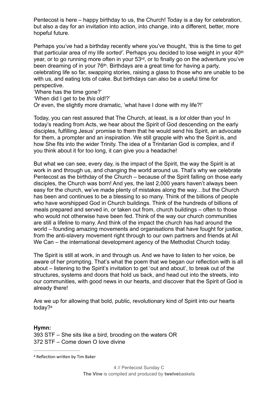Pentecost is here – happy birthday to us, the Church! Today is a day for celebration, but also a day for an invitation into action, into change, into a different, better, more hopeful future.

Perhaps you've had a birthday recently where you've thought, 'this is the time to get that particular area of my life sorted'. Perhaps you decided to lose weight in your 40<sup>th</sup> year, or to go running more often in your 53rd, or to finally go on the adventure you've been dreaming of in your 76<sup>th</sup>. Birthdays are a great time for having a party, celebrating life so far, swapping stories, raising a glass to those who are unable to be with us, and eating lots of cake. But birthdays can also be a useful time for perspective.

'Where has the time gone?'

'When did I get to be this old!?'

Or even, the slightly more dramatic, 'what have I done with my life?!'

Today, you can rest assured that The Church, at least, is a lot older than you! In today's reading from Acts, we hear about the Spirit of God descending on the early disciples, fulfilling Jesus' promise to them that he would send his Spirit, an advocate for them, a prompter and an inspiration. We still grapple with who the Spirit is, and how She fits into the wider Trinity. The idea of a Trinitarian God is complex, and if you think about it for too long, it can give you a headache!

But what we can see, every day, is the impact of the Spirit, the way the Spirit is at work in and through us, and changing the world around us. That's why we celebrate Pentecost as the birthday of the Church – because of the Spirit falling on those early disciples, the Church was born! And yes, the last 2,000 years haven't always been easy for the church, we've made plenty of mistakes along the way...but the Church has been and continues to be a blessing to so many. Think of the billions of people who have worshipped God in Church buildings. Think of the hundreds of billions of meals prepared and served in, or taken out from, church buildings – often to those who would not otherwise have been fed. Think of the way our church communities are still a lifeline to many. And think of the impact the church has had around the world – founding amazing movements and organisations that have fought for justice. from the anti-slavery movement right through to our own partners and friends at All We Can – the international development agency of the Methodist Church today.

The Spirit is still at work, in and through us. And we have to listen to her voice, be aware of her prompting. That's what the poem that we began our reflection with is all about – listening to the Spirit's invitation to get 'out and about', to break out of the structures, systems and doors that hold us back, and head out into the streets, into our communities, with good news in our hearts, and discover that the Spirit of God is already there!

<span id="page-5-0"></span>Are we up for allowing that bold, public, revolutionary kind of Spirit into our hearts today?<sup>4</sup>

#### Hymn:

393 STF – She sits like a bird, brooding on the waters OR 372 STF - Come down O love divine

<sup>&</sup>lt;sup>4</sup> Reflection written by Tim Baker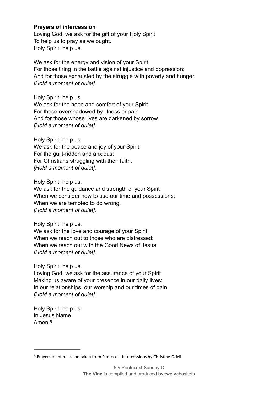#### **Prayers of intercession**

Loving God, we ask for the gift of your Holy Spirit To help us to pray as we ought. Holy Spirit: help us.

We ask for the energy and vision of your Spirit For those tiring in the battle against injustice and oppression; And for those exhausted by the struggle with poverty and hunger. *[Hold a moment of quiet].*

Holy Spirit: help us. We ask for the hope and comfort of your Spirit For those overshadowed by illness or pain And for those whose lives are darkened by sorrow. *[Hold a moment of quiet].*

Holy Spirit: help us.

We ask for the peace and joy of your Spirit For the guilt-ridden and anxious; For Christians struggling with their faith. *[Hold a moment of quiet].*

Holy Spirit: help us.

We ask for the guidance and strength of your Spirit When we consider how to use our time and possessions; When we are tempted to do wrong. *[Hold a moment of quiet].*

Holy Spirit: help us.

We ask for the love and courage of your Spirit When we reach out to those who are distressed: When we reach out with the Good News of Jesus. *[Hold a moment of quiet].*

Holy Spirit: help us.

Loving God, we ask for the assurance of your Spirit Making us aware of your presence in our daily lives: In our relationships, our worship and our times of pain. *[Hold a moment of quiet].*

<span id="page-6-1"></span>Holy Spirit: help us. In Jesus Name, Amen<sup>[5](#page-6-0)</sup>

<span id="page-6-0"></span><sup>&</sup>lt;sup>[5](#page-6-1)</sup> Prayers of intercession taken from Pentecost Intercessions by Christine Odell